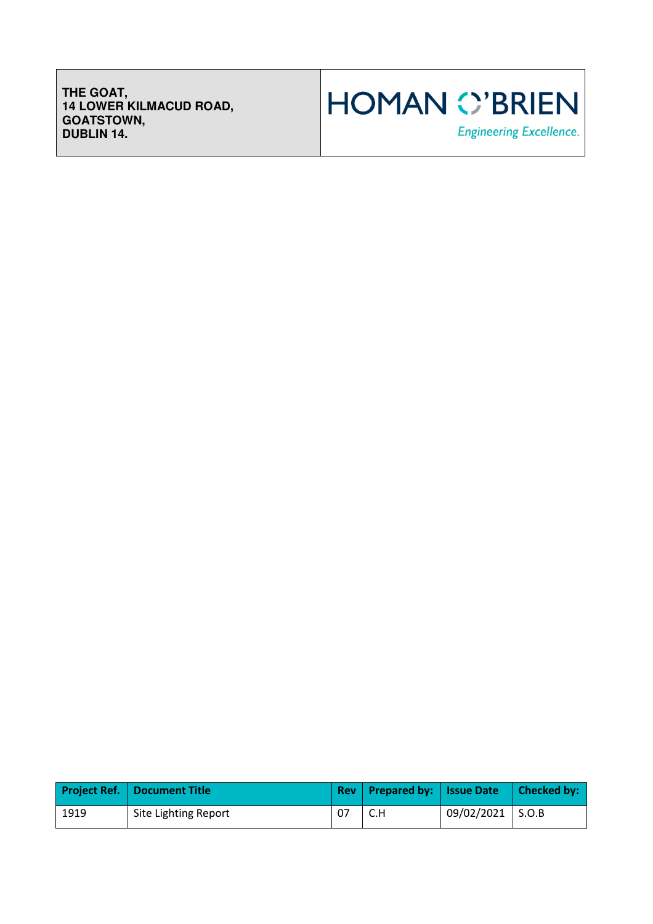**THE GOAT, 14 LOWER KILMACUD ROAD, GOATSTOWN, DUBLIN 14.** 



|      | <b>Project Ref.   Document Title</b> | Rev   Prepared by:   Issue Date   Checked by: |            |       |
|------|--------------------------------------|-----------------------------------------------|------------|-------|
| 1919 | Site Lighting Report                 |                                               | 09/02/2021 | S.O.B |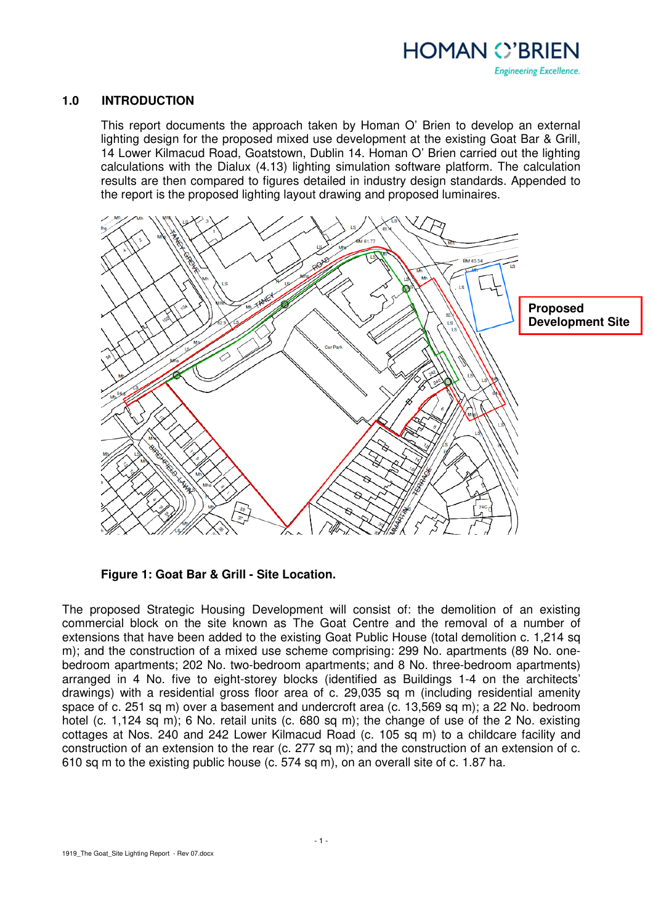

#### **1.0 INTRODUCTION**

This report documents the approach taken by Homan O' Brien to develop an external lighting design for the proposed mixed use development at the existing Goat Bar & Grill, 14 Lower Kilmacud Road, Goatstown, Dublin 14. Homan O' Brien carried out the lighting calculations with the Dialux (4.13) lighting simulation software platform. The calculation results are then compared to figures detailed in industry design standards. Appended to the report is the proposed lighting layout drawing and proposed luminaires.



**Figure 1: Goat Bar & Grill - Site Location.** 

The proposed Strategic Housing Development will consist of: the demolition of an existing commercial block on the site known as The Goat Centre and the removal of a number of extensions that have been added to the existing Goat Public House (total demolition c. 1,214 sq m); and the construction of a mixed use scheme comprising: 299 No. apartments (89 No. onebedroom apartments; 202 No. two-bedroom apartments; and 8 No. three-bedroom apartments) arranged in 4 No. five to eight-storey blocks (identified as Buildings 1-4 on the architects' drawings) with a residential gross floor area of c. 29,035 sq m (including residential amenity space of c. 251 sq m) over a basement and undercroft area (c. 13,569 sq m); a 22 No. bedroom hotel (c. 1,124 sq m); 6 No. retail units (c. 680 sq m); the change of use of the 2 No. existing cottages at Nos. 240 and 242 Lower Kilmacud Road (c. 105 sq m) to a childcare facility and construction of an extension to the rear (c. 277 sq m); and the construction of an extension of c. 610 sq m to the existing public house (c. 574 sq m), on an overall site of c. 1.87 ha.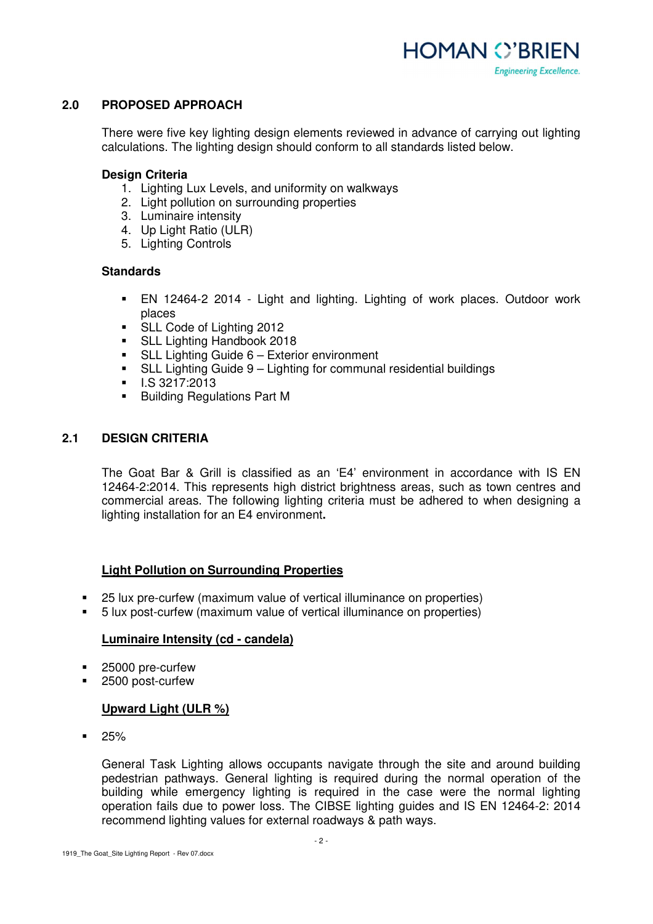

# **2.0 PROPOSED APPROACH**

There were five key lighting design elements reviewed in advance of carrying out lighting calculations. The lighting design should conform to all standards listed below.

#### **Design Criteria**

- 1. Lighting Lux Levels, and uniformity on walkways
- 2. Light pollution on surrounding properties
- 3. Luminaire intensity
- 4. Up Light Ratio (ULR)
- 5. Lighting Controls

#### **Standards**

- EN 12464-2 2014 Light and lighting. Lighting of work places. Outdoor work places
- **SLL Code of Lighting 2012**
- **SLL Lighting Handbook 2018**
- SLL Lighting Guide 6 Exterior environment
- SLL Lighting Guide 9 Lighting for communal residential buildings
- $\blacksquare$  I.S 3217:2013
- **Building Regulations Part M**

# **2.1 DESIGN CRITERIA**

The Goat Bar & Grill is classified as an 'E4' environment in accordance with IS EN 12464-2:2014. This represents high district brightness areas, such as town centres and commercial areas. The following lighting criteria must be adhered to when designing a lighting installation for an E4 environment**.** 

# **Light Pollution on Surrounding Properties**

- 25 lux pre-curfew (maximum value of vertical illuminance on properties)
- 5 lux post-curfew (maximum value of vertical illuminance on properties)

# **Luminaire Intensity (cd - candela)**

- 25000 pre-curfew
- 2500 post-curfew

# **Upward Light (ULR %)**

 $-25%$ 

General Task Lighting allows occupants navigate through the site and around building pedestrian pathways. General lighting is required during the normal operation of the building while emergency lighting is required in the case were the normal lighting operation fails due to power loss. The CIBSE lighting guides and IS EN 12464-2: 2014 recommend lighting values for external roadways & path ways.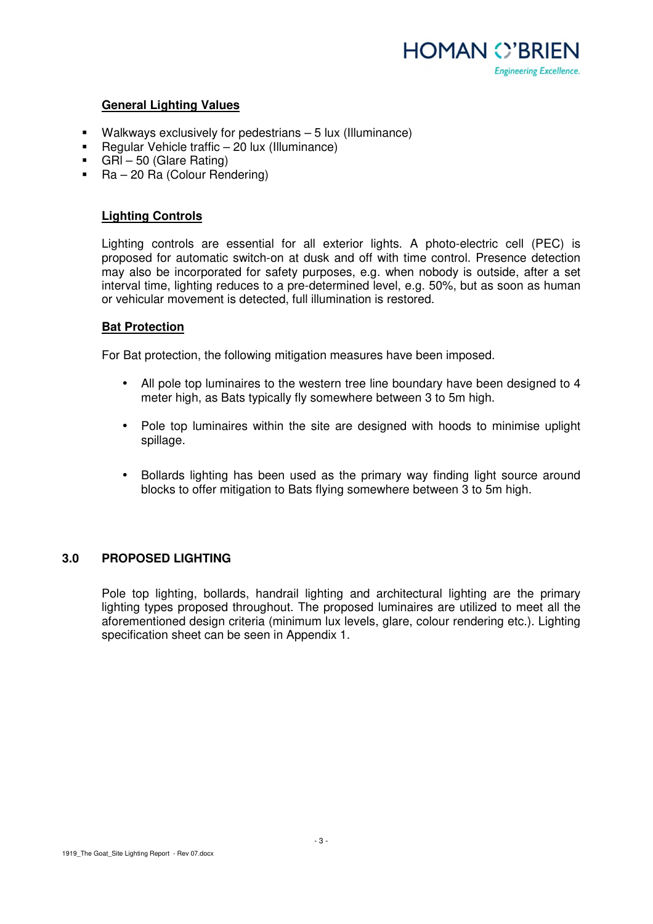

# **General Lighting Values**

- Walkways exclusively for pedestrians 5 lux (Illuminance)
- Regular Vehicle traffic 20 lux (Illuminance)
- GRI 50 (Glare Rating)
- Ra 20 Ra (Colour Rendering)

#### **Lighting Controls**

Lighting controls are essential for all exterior lights. A photo-electric cell (PEC) is proposed for automatic switch-on at dusk and off with time control. Presence detection may also be incorporated for safety purposes, e.g. when nobody is outside, after a set interval time, lighting reduces to a pre-determined level, e.g. 50%, but as soon as human or vehicular movement is detected, full illumination is restored.

#### **Bat Protection**

For Bat protection, the following mitigation measures have been imposed.

- All pole top luminaires to the western tree line boundary have been designed to 4 meter high, as Bats typically fly somewhere between 3 to 5m high.
- Pole top luminaires within the site are designed with hoods to minimise uplight spillage.
- Bollards lighting has been used as the primary way finding light source around blocks to offer mitigation to Bats flying somewhere between 3 to 5m high.

# **3.0 PROPOSED LIGHTING**

Pole top lighting, bollards, handrail lighting and architectural lighting are the primary lighting types proposed throughout. The proposed luminaires are utilized to meet all the aforementioned design criteria (minimum lux levels, glare, colour rendering etc.). Lighting specification sheet can be seen in Appendix 1.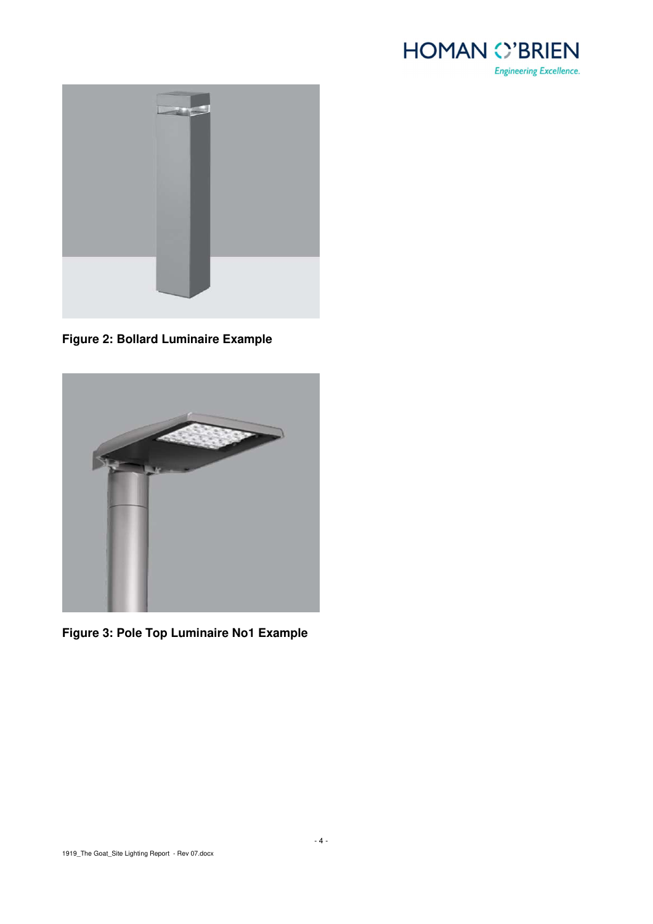



**Figure 2: Bollard Luminaire Example** 



**Figure 3: Pole Top Luminaire No1 Example**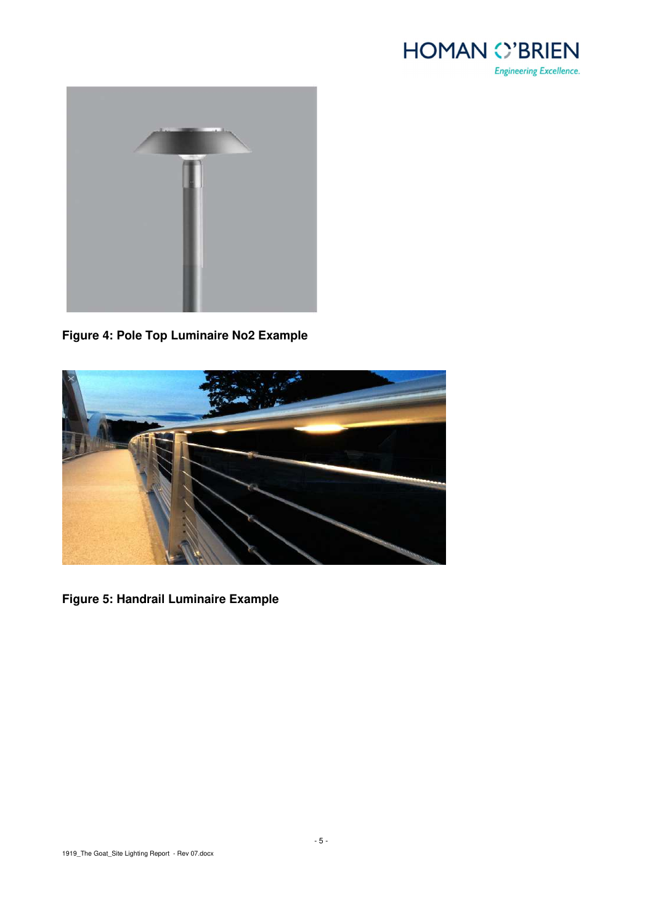



**Figure 4: Pole Top Luminaire No2 Example** 



**Figure 5: Handrail Luminaire Example**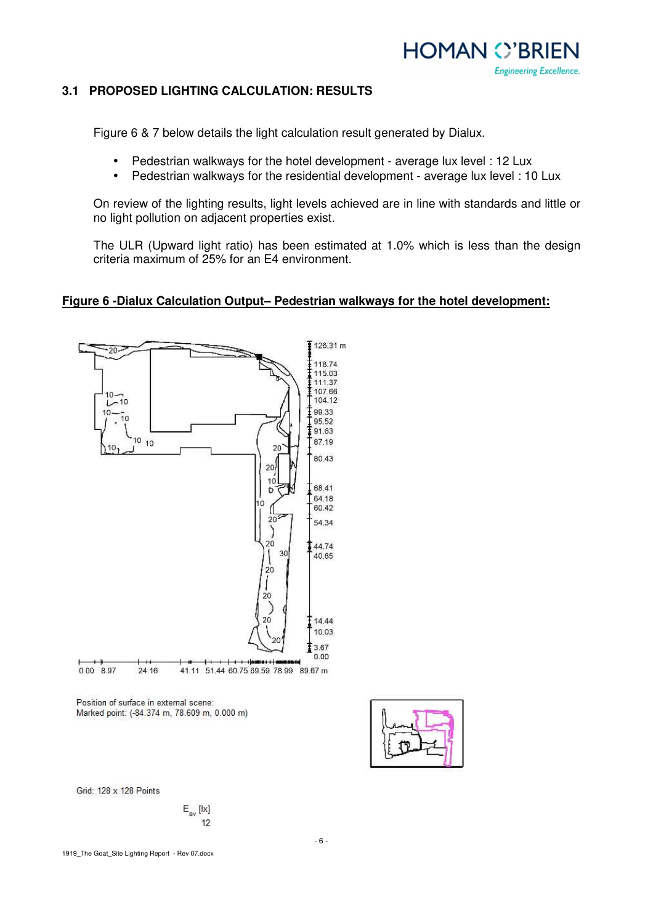

# **3.1 PROPOSED LIGHTING CALCULATION: RESULTS**

Figure 6 & 7 below details the light calculation result generated by Dialux.

- Pedestrian walkways for the hotel development average lux level : 12 Lux
- Pedestrian walkways for the residential development average lux level : 10 Lux

On review of the lighting results, light levels achieved are in line with standards and little or no light pollution on adjacent properties exist.

The ULR (Upward light ratio) has been estimated at 1.0% which is less than the design criteria maximum of 25% for an E4 environment.

#### **Figure 6 -Dialux Calculation Output– Pedestrian walkways for the hotel development:**



Position of surface in external scene: Marked point: (-84.374 m, 78.609 m, 0.000 m)



Grid: 128 x 128 Points

$$
\begin{array}{c}\nE_{\text{av}}\left[ l x \right] \\
12\n\end{array}
$$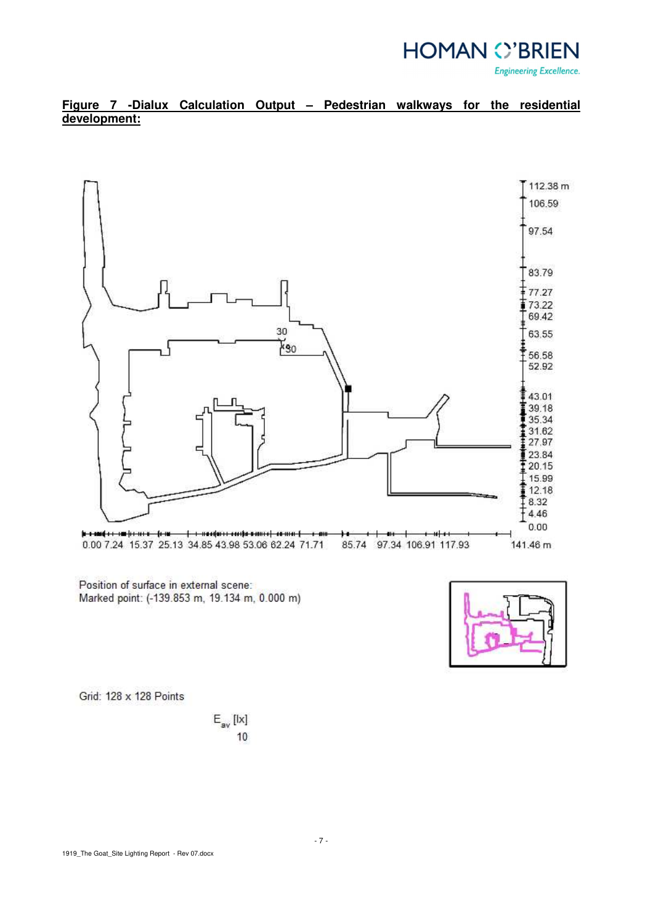

# **Figure 7 -Dialux Calculation Output – Pedestrian walkways for the residential development:**



Position of surface in external scene: Marked point: (-139.853 m, 19.134 m, 0.000 m)



Grid: 128 x 128 Points

$$
\begin{array}{c} \mathsf{E}_{\mathsf{av}}\left[\mathsf{I}\mathsf{x}\right] \\ \mathsf{10}\end{array}
$$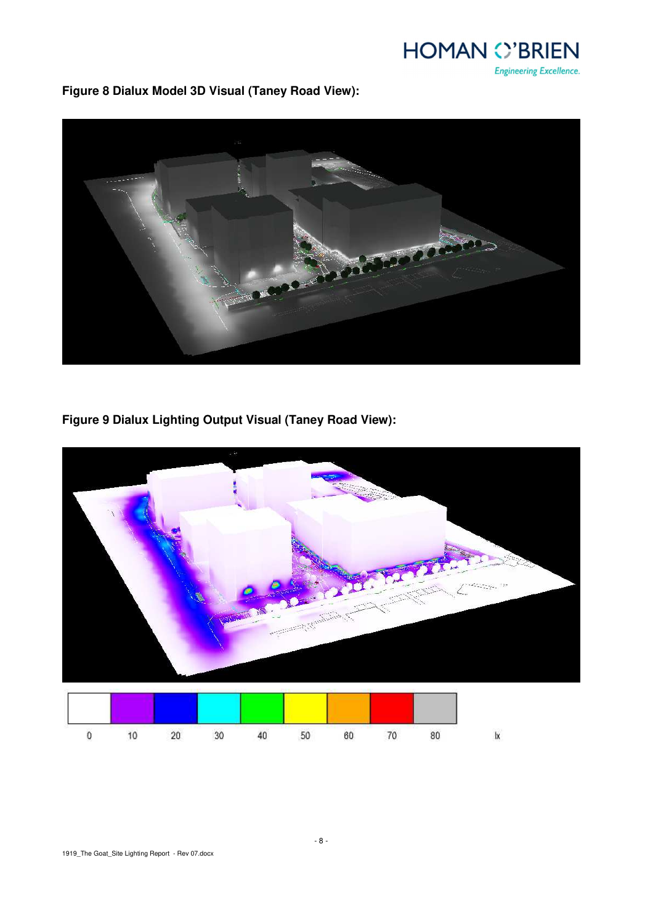**HOMAN O'BRIEN Engineering Excellence.** 

**Figure 8 Dialux Model 3D Visual (Taney Road View):** 



**Figure 9 Dialux Lighting Output Visual (Taney Road View):** 

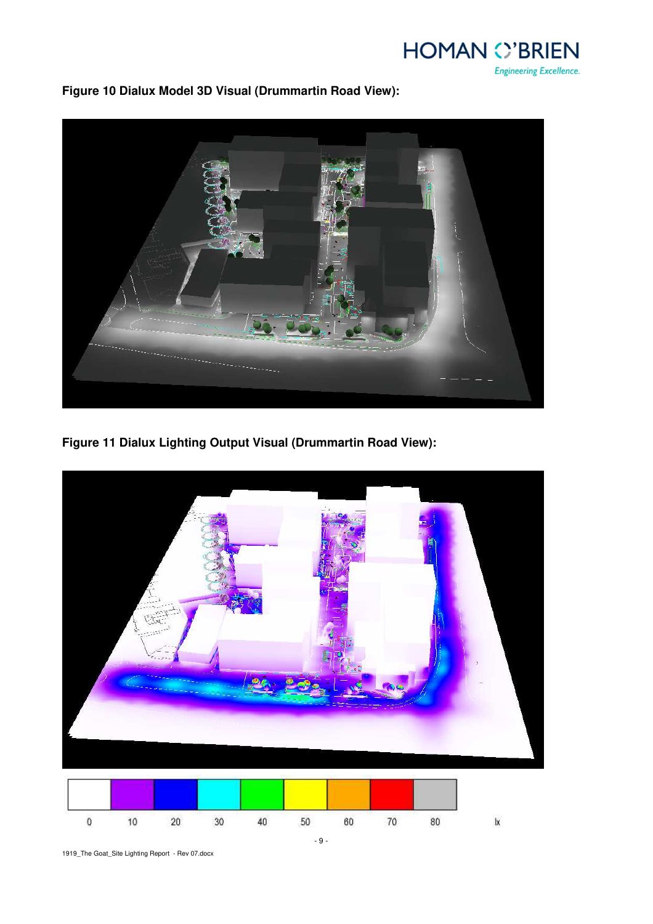

**Figure 10 Dialux Model 3D Visual (Drummartin Road View):** 



**Figure 11 Dialux Lighting Output Visual (Drummartin Road View):** 



1919\_The Goat\_Site Lighting Report - Rev 07.docx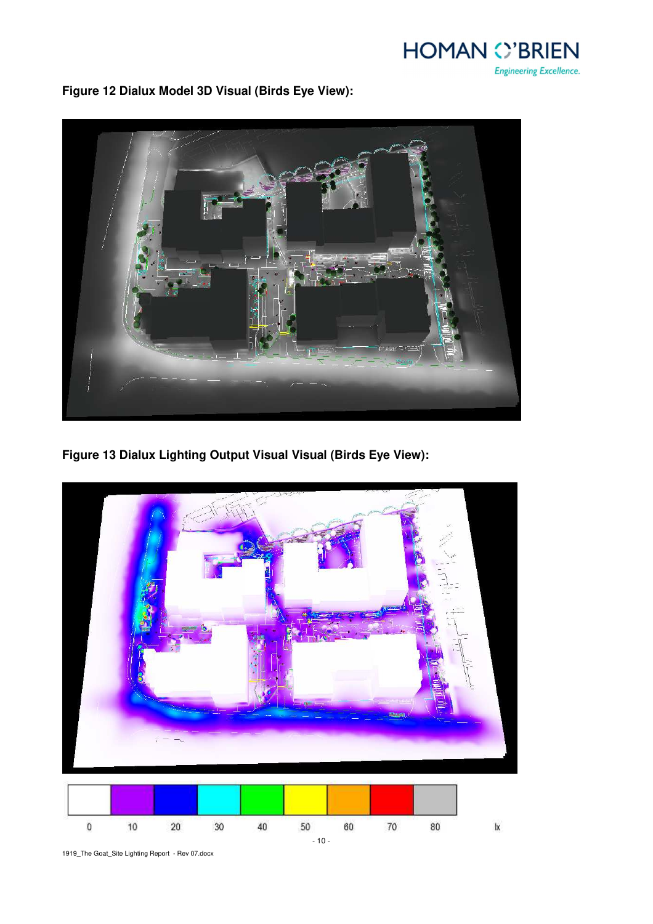**HOMAN C'BRIEN Engineering Excellence.** 

**Figure 12 Dialux Model 3D Visual (Birds Eye View):** 



**Figure 13 Dialux Lighting Output Visual Visual (Birds Eye View):** 



1919\_The Goat\_Site Lighting Report - Rev 07.docx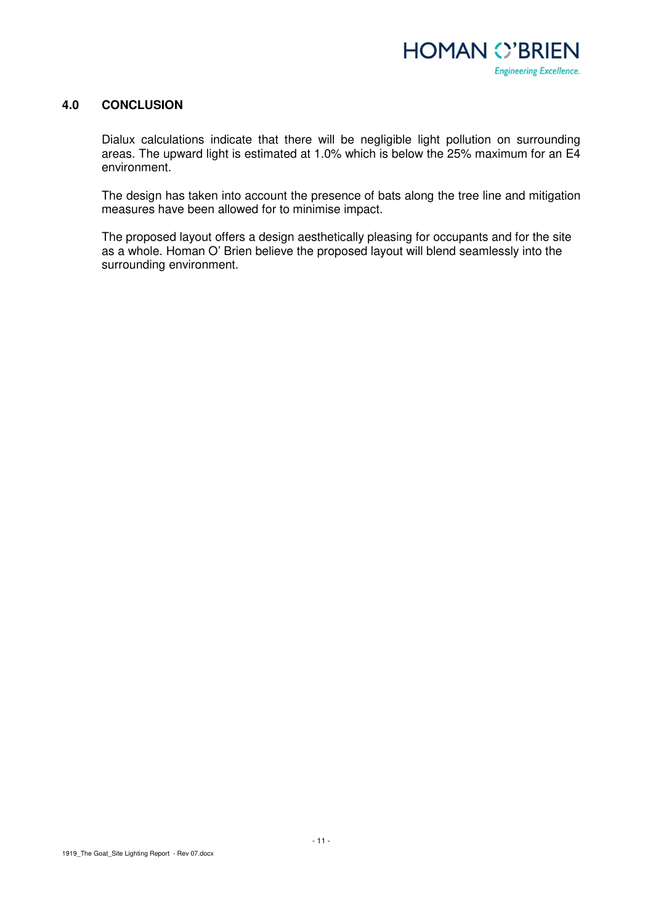

## **4.0 CONCLUSION**

Dialux calculations indicate that there will be negligible light pollution on surrounding areas. The upward light is estimated at 1.0% which is below the 25% maximum for an E4 environment.

The design has taken into account the presence of bats along the tree line and mitigation measures have been allowed for to minimise impact.

The proposed layout offers a design aesthetically pleasing for occupants and for the site as a whole. Homan O' Brien believe the proposed layout will blend seamlessly into the surrounding environment.